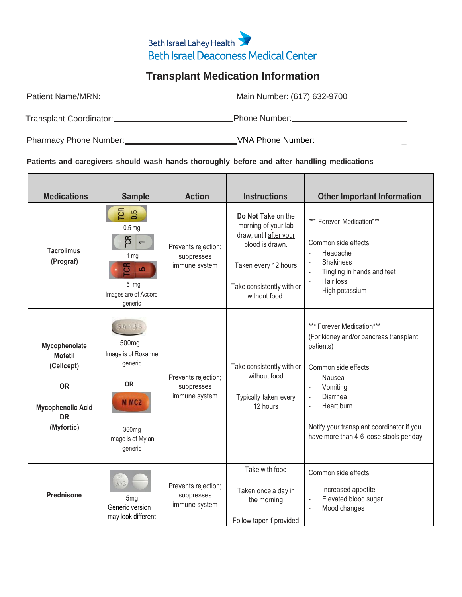## Beth Israel Lahey Health **Beth Israel Deaconess Medical Center**

## **Transplant Medication Information**

| Patient Name/MRN:       | Main Number: (617) 632-9700 |
|-------------------------|-----------------------------|
| Transplant Coordinator: | Phone Number:               |

Pharmacy Phone Number: VNA Phone Number: \_

## **Patients and caregivers should wash hands thoroughly before and after handling medications**

| <b>Medications</b>                                                                                                | <b>Sample</b>                                                                                                                           | <b>Action</b>                                      | <b>Instructions</b>                                                                                                                                          | <b>Other Important Information</b>                                                                                                                                                                                                                                                                                                          |
|-------------------------------------------------------------------------------------------------------------------|-----------------------------------------------------------------------------------------------------------------------------------------|----------------------------------------------------|--------------------------------------------------------------------------------------------------------------------------------------------------------------|---------------------------------------------------------------------------------------------------------------------------------------------------------------------------------------------------------------------------------------------------------------------------------------------------------------------------------------------|
| <b>Tacrolimus</b><br>(Prograf)                                                                                    | <b>ES</b><br>0.5<br>0.5 <sub>mg</sub><br>TCR<br>$\overline{ }$<br>1 mg<br>ច<br>io.<br>$5$ mg<br>Images are of Accord<br>generic         | Prevents rejection;<br>suppresses<br>immune system | Do Not Take on the<br>morning of your lab<br>draw, until after your<br>blood is drawn.<br>Taken every 12 hours<br>Take consistently with or<br>without food. | *** Forever Medication***<br>Common side effects<br>Headache<br>$\Box$<br><b>Shakiness</b><br>$\overline{\phantom{a}}$<br>Tingling in hands and feet<br>$\blacksquare$<br>Hair loss<br>$\overline{\phantom{a}}$<br>High potassium<br>$\blacksquare$                                                                                         |
| Mycophenolate<br><b>Mofetil</b><br>(Cellcept)<br><b>OR</b><br><b>Mycophenolic Acid</b><br><b>DR</b><br>(Myfortic) | 54135<br>500 <sub>mg</sub><br>Image is of Roxanne<br>generic<br><b>OR</b><br>M MC <sub>2</sub><br>360mg<br>Image is of Mylan<br>generic | Prevents rejection;<br>suppresses<br>immune system | Take consistently with or<br>without food<br>Typically taken every<br>12 hours                                                                               | *** Forever Medication***<br>(For kidney and/or pancreas transplant<br>patients)<br>Common side effects<br>Nausea<br>$\overline{\phantom{a}}$<br>Vomiting<br>$\blacksquare$<br>Diarrhea<br>$\blacksquare$<br>Heart burn<br>$\overline{\phantom{a}}$<br>Notify your transplant coordinator if you<br>have more than 4-6 loose stools per day |
| <b>Prednisone</b>                                                                                                 | 5 <sub>mg</sub><br>Generic version<br>may look different                                                                                | Prevents rejection;<br>suppresses<br>immune system | Take with food<br>Taken once a day in<br>the morning<br>Follow taper if provided                                                                             | Common side effects<br>Increased appetite<br>$\overline{\phantom{a}}$<br>Elevated blood sugar<br>$\sim$<br>Mood changes<br>$\Box$                                                                                                                                                                                                           |